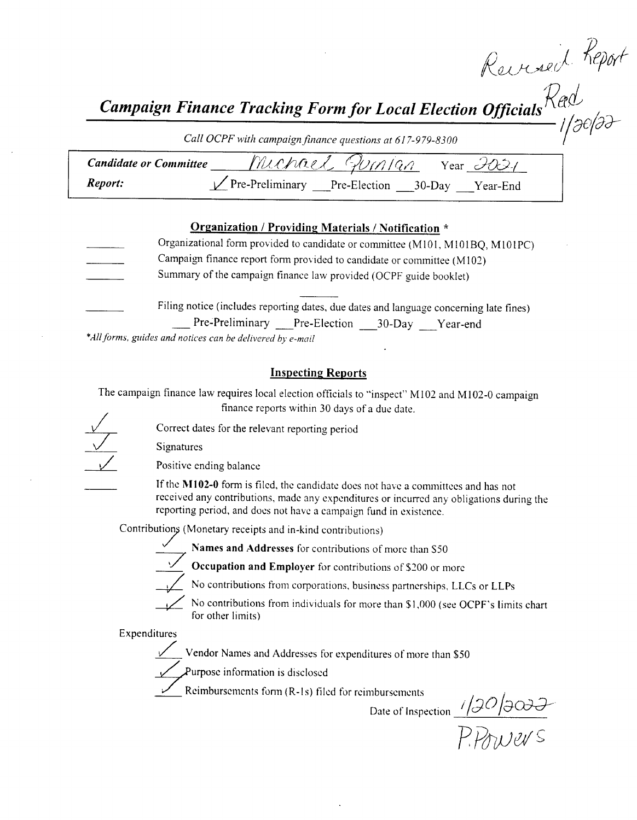$\mathrm{l} \ell \mathrm{\mu}$ v

r'

Campaign Finance Tracking Form for Local Election Officials  $\mathcal{R}$ ed for Local Election Officials  $\stackrel{\textstyle\bigwedge} {\textstyle\bigwedge}^{\textstyle\bigwedge}$ 

Call OCPF with campaign finance questions at 617-979-8300

| <b>Candidate or Committee</b> | Muchael Guinjan<br>Year $\partial \overline{\partial}$          |  |
|-------------------------------|-----------------------------------------------------------------|--|
| Report:                       | $\sqrt{\text{Pre-Preliminary}}$ Pre-Election 30-Day<br>Year-End |  |

#### Organization / Providing Materials/ Notification \*

Organizational form provided to candidate or committee (M101, M101BQ, M101PC) Campaign finance report form provided to candidate or committee ( M102) Summary of the campaign finance law provided( OCPF guide booklet) Filing notice (includes reporting dates, due dates and language concerning late fines)

Pre-Preliminary Pre-Election 30-Day Year-end

\*All forms, guides and notices can be delivered by e-mail

#### Inspecting Reports

The campaign finance law requires local election officials to "inspect" M102 and M102-0 campaign finance reports within 30 days of <sup>a</sup> due date.

Correct dates for the relevant reporting period

Signatures

Positive ending balance

If the M102-0 form is filed, the candidate does not have a committees and has not received any contributions, made any expenditures or incurred any obligations during the reporting period, and does not have <sup>a</sup> campaign fund in existence.

Contributions ( Monetary receipts and in- kind contributions)

Names and Addresses for contributions of more than S50





Occupation and Employer for contributions of \$200 or more

No contributions from corporations, business partnerships, LLCs or LLPs

No contributions from individuals for more than \$1,000 (see OCPF's limits chart

Expenditures

Vendor Names and Addresses for expenditures of more than \$50

Purpose information is disclosed

for other limits)

Reimbursements form (R-1s) filed for reimbursements

Date of Inspection  $\left| \sqrt{\mathcal{Q}} \mathcal{O} \right|$ 

P.Powers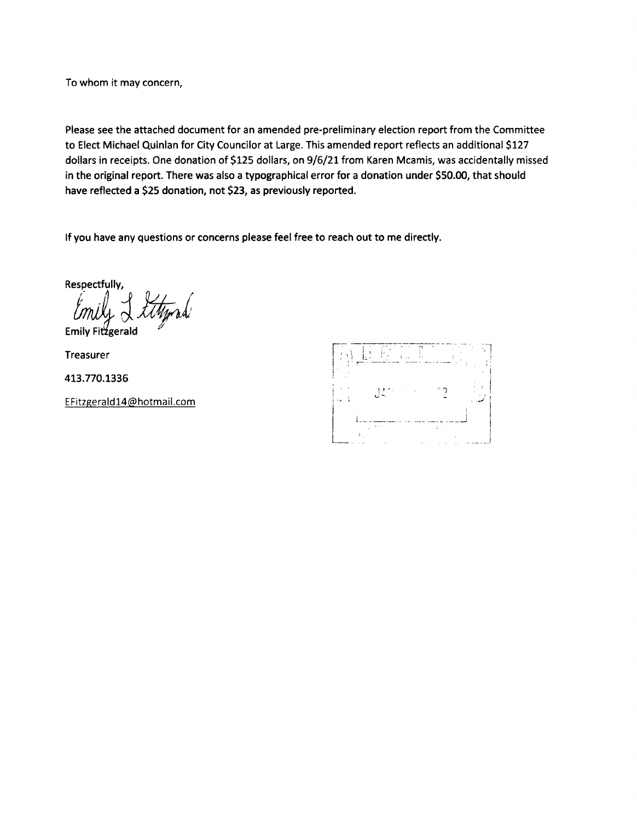To whom it may concern,

Please see the attached document for an amended pre- preliminary election report from the Committee to Elect Michael Quinlan for City Councilor at Large. This amended report reflects an additional \$127 dollars in receipts. One donation of \$125 dollars, on 9/6/21 from Karen Mcamis, was accidentally missed in the original report. There was also a typographical error for a donation under \$50.00, that should have reflected a \$25 donation, not \$23, as previously reported.

If you have any questions or concerns please feel free to reach out to me directly.

Respectfully,

UIN

Emily Fitzgerald

Treasurer

413. 770. 1336

EFitzgerald14@hotmail. com

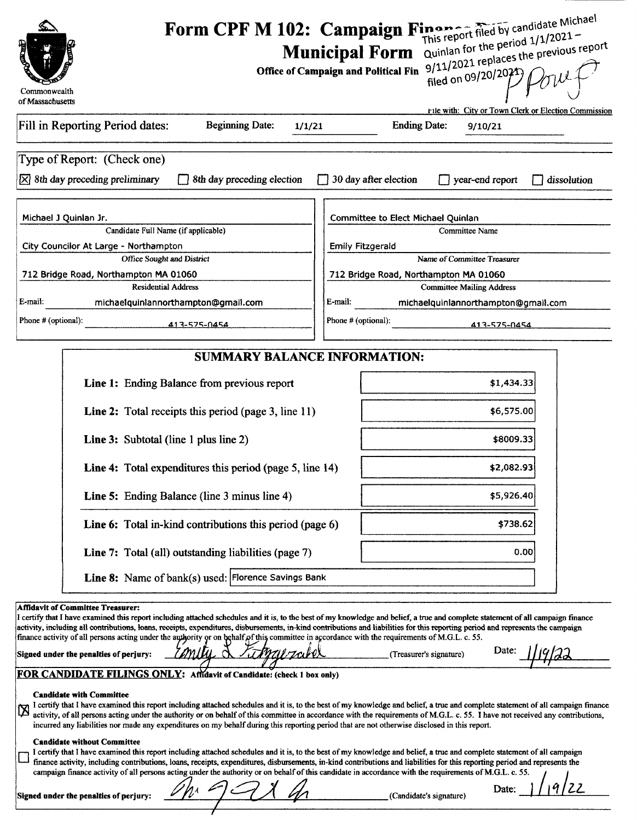| Commonwealth<br>of Massachusetts                                                                                                                                                                                                                                                                                                                                                                                                                                                                                                                                                                                                                                                                                                                                                                                                                                                                                                                                                                                                                                                                                                                                                                                                                                                                                                                                                                                                                                                                                                                                                                                                                                                                                                                                                                                                                                                                                               | Form CPF M 102: Campaign Finance filed by candidate Michael<br>Quinlan for the period 1/1/2021-<br>9/11/2021 replaces the previous report<br><b>Municipal Form</b><br>Office of Campaign and Political Fin<br>filed on 09/20/2071)<br>rile with: City or Town Clerk or Election Commission  |  |  |  |
|--------------------------------------------------------------------------------------------------------------------------------------------------------------------------------------------------------------------------------------------------------------------------------------------------------------------------------------------------------------------------------------------------------------------------------------------------------------------------------------------------------------------------------------------------------------------------------------------------------------------------------------------------------------------------------------------------------------------------------------------------------------------------------------------------------------------------------------------------------------------------------------------------------------------------------------------------------------------------------------------------------------------------------------------------------------------------------------------------------------------------------------------------------------------------------------------------------------------------------------------------------------------------------------------------------------------------------------------------------------------------------------------------------------------------------------------------------------------------------------------------------------------------------------------------------------------------------------------------------------------------------------------------------------------------------------------------------------------------------------------------------------------------------------------------------------------------------------------------------------------------------------------------------------------------------|---------------------------------------------------------------------------------------------------------------------------------------------------------------------------------------------------------------------------------------------------------------------------------------------|--|--|--|
| Fill in Reporting Period dates:<br><b>Beginning Date:</b><br>1/1/21                                                                                                                                                                                                                                                                                                                                                                                                                                                                                                                                                                                                                                                                                                                                                                                                                                                                                                                                                                                                                                                                                                                                                                                                                                                                                                                                                                                                                                                                                                                                                                                                                                                                                                                                                                                                                                                            | <b>Ending Date:</b><br>9/10/21                                                                                                                                                                                                                                                              |  |  |  |
| Type of Report: (Check one)<br>$[\times]$ 8th day preceding preliminary<br>8th day preceding election                                                                                                                                                                                                                                                                                                                                                                                                                                                                                                                                                                                                                                                                                                                                                                                                                                                                                                                                                                                                                                                                                                                                                                                                                                                                                                                                                                                                                                                                                                                                                                                                                                                                                                                                                                                                                          | $\Box$ 30 day after election<br>year-end report<br>dissolution                                                                                                                                                                                                                              |  |  |  |
| Michael J Quinlan Jr.<br>Candidate Full Name (if applicable)<br>City Councilor At Large - Northampton<br>Office Sought and District<br>712 Bridge Road, Northampton MA 01060<br><b>Residential Address</b><br>E-mail:<br>michaelquinlannorthampton@gmail.com<br>Phone # (optional):<br>413-575-0454                                                                                                                                                                                                                                                                                                                                                                                                                                                                                                                                                                                                                                                                                                                                                                                                                                                                                                                                                                                                                                                                                                                                                                                                                                                                                                                                                                                                                                                                                                                                                                                                                            | Committee to Elect Michael Quinlan<br><b>Committee Name</b><br><b>Emily Fitzgerald</b><br>Name of Committee Treasurer<br>712 Bridge Road, Northampton MA 01060<br><b>Committee Mailing Address</b><br>E-mail:<br>michaelquinlannorthampton@gmail.com<br>Phone # (optional):<br>413-575-0454 |  |  |  |
| <b>SUMMARY BALANCE INFORMATION:</b><br>Line 1: Ending Balance from previous report                                                                                                                                                                                                                                                                                                                                                                                                                                                                                                                                                                                                                                                                                                                                                                                                                                                                                                                                                                                                                                                                                                                                                                                                                                                                                                                                                                                                                                                                                                                                                                                                                                                                                                                                                                                                                                             | \$1,434.33                                                                                                                                                                                                                                                                                  |  |  |  |
| Line 2: Total receipts this period (page 3, line 11)                                                                                                                                                                                                                                                                                                                                                                                                                                                                                                                                                                                                                                                                                                                                                                                                                                                                                                                                                                                                                                                                                                                                                                                                                                                                                                                                                                                                                                                                                                                                                                                                                                                                                                                                                                                                                                                                           | \$6,575.00                                                                                                                                                                                                                                                                                  |  |  |  |
| <b>Line 3:</b> Subtotal (line 1 plus line 2)                                                                                                                                                                                                                                                                                                                                                                                                                                                                                                                                                                                                                                                                                                                                                                                                                                                                                                                                                                                                                                                                                                                                                                                                                                                                                                                                                                                                                                                                                                                                                                                                                                                                                                                                                                                                                                                                                   | \$8009.33                                                                                                                                                                                                                                                                                   |  |  |  |
| <b>Line 4:</b> Total expenditures this period (page 5, line 14)                                                                                                                                                                                                                                                                                                                                                                                                                                                                                                                                                                                                                                                                                                                                                                                                                                                                                                                                                                                                                                                                                                                                                                                                                                                                                                                                                                                                                                                                                                                                                                                                                                                                                                                                                                                                                                                                | \$2,082.93                                                                                                                                                                                                                                                                                  |  |  |  |
| Line 5: Ending Balance (line 3 minus line 4)                                                                                                                                                                                                                                                                                                                                                                                                                                                                                                                                                                                                                                                                                                                                                                                                                                                                                                                                                                                                                                                                                                                                                                                                                                                                                                                                                                                                                                                                                                                                                                                                                                                                                                                                                                                                                                                                                   | \$5,926.40                                                                                                                                                                                                                                                                                  |  |  |  |
| Line 6: Total in-kind contributions this period (page 6)                                                                                                                                                                                                                                                                                                                                                                                                                                                                                                                                                                                                                                                                                                                                                                                                                                                                                                                                                                                                                                                                                                                                                                                                                                                                                                                                                                                                                                                                                                                                                                                                                                                                                                                                                                                                                                                                       | \$738.62<br>0.00                                                                                                                                                                                                                                                                            |  |  |  |
| Line 7: Total (all) outstanding liabilities (page 7)<br>Line 8: Name of bank(s) used: Florence Savings Bank                                                                                                                                                                                                                                                                                                                                                                                                                                                                                                                                                                                                                                                                                                                                                                                                                                                                                                                                                                                                                                                                                                                                                                                                                                                                                                                                                                                                                                                                                                                                                                                                                                                                                                                                                                                                                    |                                                                                                                                                                                                                                                                                             |  |  |  |
| <b>Affidavit of Committee Treasurer:</b><br>I certify that I have examined this report including attached schedules and it is, to the best of my knowledge and belief, a true and complete statement of all campaign finance<br>activity, including all contributions, loans, receipts, expenditures, disbursements, in-kind contributions and liabilities for this reporting period and represents the campaign<br>finance activity of all persons acting under the authority or on behalf of this committee in accordance with the requirements of M.G.L. c. 55.<br>Date:<br>(Treasurer's signature)<br>Signed under the penalties of perjury:<br>FOR CANDIDATE FILINGS ONLY: Affidavit of Candidate: (check 1 box only)<br><b>Candidate with Committee</b><br>I certify that I have examined this report including attached schedules and it is, to the best of my knowledge and belief, a true and complete statement of all campaign finance<br>activity, of all persons acting under the authority or on behalf of this committee in accordance with the requirements of M.G.L. c. 55. I have not received any contributions,<br>incurred any liabilities nor made any expenditures on my behalf during this reporting period that are not otherwise disclosed in this report.<br><b>Candidate without Committee</b><br>I certify that I have examined this report including attached schedules and it is, to the best of my knowledge and belief, a true and complete statement of all campaign<br>finance activity, including contributions, loans, receipts, expenditures, disbursements, in-kind contributions and liabilities for this reporting period and represents the<br>campaign finance activity of all persons acting under the authority or on behalf of this candidate in accordance with the requirements of M.G.L. c. 55.<br>Date:<br>(Candidate's signature)<br>Signed under the penalties of perjury: |                                                                                                                                                                                                                                                                                             |  |  |  |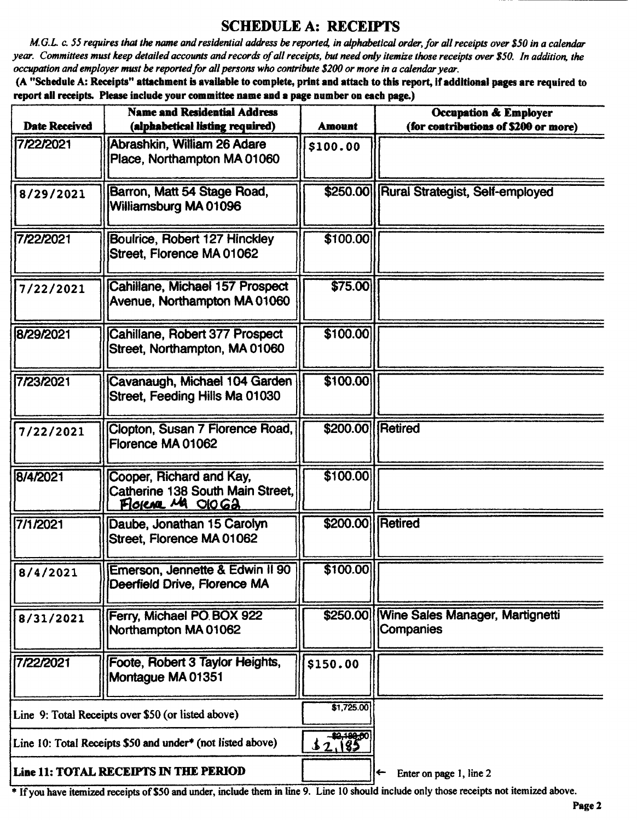## SCHEDULE A: RECEIPTS

M.G.L. c. 55 requires that the name and residential address be reported, in alphabetical order, for all receipts over \$50 in a calendar year. Committees must keep detailed accounts and records of all receipts, but need only itemize those receipts over \$50. In addition, the occupation and employer must be reported for all persons who contribute \$200 or more in a calendar year.

A" Schedule A: Receipts" attachment is available to complete, print and attach to this report, ifadditional pages are required to report all receipts. Please include your committee name and a page number on each page.)

| <b>Name and Residential Address</b><br><b>Date Received</b><br>(alphabetical listing required) |                                                                                   | <b>Amount</b>      | <b>Occupation &amp; Employer</b><br>(for contributions of \$200 or more) |
|------------------------------------------------------------------------------------------------|-----------------------------------------------------------------------------------|--------------------|--------------------------------------------------------------------------|
| 7/22/2021                                                                                      | Abrashkin, William 26 Adare<br>Place, Northampton MA 01060                        | \$100.00           |                                                                          |
| 8/29/2021                                                                                      | Barron, Matt 54 Stage Road,<br>Williamsburg MA 01096                              |                    | \$250.00 Rural Strategist, Self-employed                                 |
| 7/22/2021                                                                                      | <b>Boulrice, Robert 127 Hinckley</b><br>Street. Florence MA 01062                 | \$100.00           |                                                                          |
| 7/22/2021                                                                                      | Cahillane, Michael 157 Prospect<br>Avenue, Northampton MA 01060                   | \$75.00            |                                                                          |
| 8/29/2021                                                                                      | Cahillane, Robert 377 Prospect<br>Street, Northampton, MA 01060                   | \$100.00           |                                                                          |
| 7/23/2021                                                                                      | Cavanaugh, Michael 104 Garden<br>Street, Feeding Hills Ma 01030                   | \$100.00           |                                                                          |
| 7/22/2021                                                                                      | Clopton, Susan 7 Florence Road,<br>Florence MA 01062                              | \$200.00 Retired   |                                                                          |
| 8/4/2021                                                                                       | Cooper, Richard and Kay,<br>Catherine 138 South Main Street,<br>Florence MA Ologa | \$100.00           |                                                                          |
| 7/1/2021                                                                                       | Daube, Jonathan 15 Carolyn<br>Street, Florence MA 01062                           | \$200.00   Retired |                                                                          |
| 8/4/2021                                                                                       | (Emerson, Jennette & Edwin II 90)<br>Deerfield Drive, Florence MA                 | \$100.00]          |                                                                          |
| 8/31/2021                                                                                      | Ferry, Michael PO BOX 922<br>Northampton MA 01062                                 |                    | \$250.00 Wine Sales Manager, Martignetti<br>Companies                    |
| 7/22/2021                                                                                      | Foote, Robert 3 Taylor Heights,<br>Montague MA 01351                              | \$150.00           |                                                                          |
| Line 9: Total Receipts over \$50 (or listed above)                                             |                                                                                   | \$1,725.00         |                                                                          |
| Line 10: Total Receipts \$50 and under* (not listed above)                                     |                                                                                   | 32,185             |                                                                          |
| Line 11: TOTAL RECEIPTS IN THE PERIOD                                                          |                                                                                   |                    | Enter on page 1, line 2                                                  |

Ifyou have itemized receipts of\$50 and under, include them in line 9. Line <sup>10</sup> should include only those receipts not itemized above.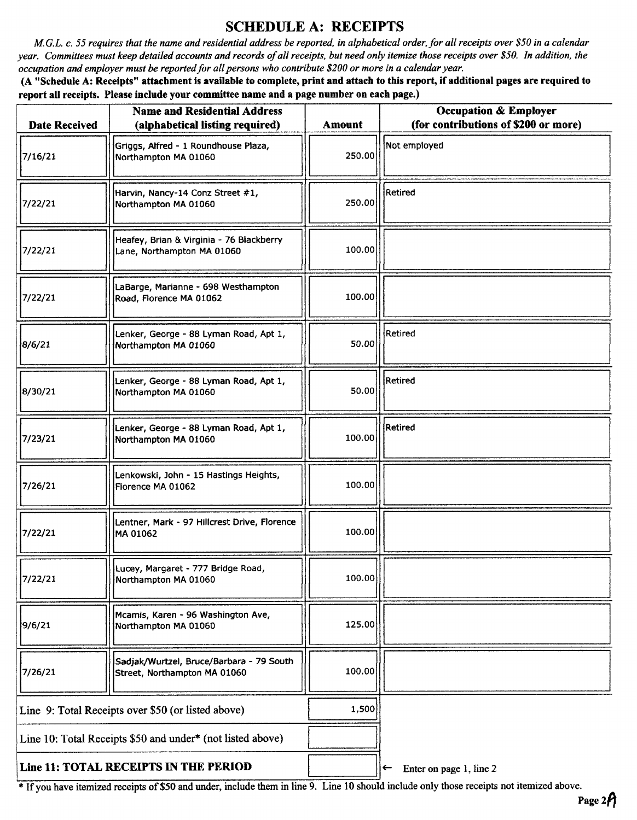## SCHEDULE A: RECEIPTS

M.G.L. c. 55 requires that the name and residential address be reported, in alphabetical order, for all receipts over \$50 in a calendar year. Committees must keep detailed accounts and records of all receipts, but need only itemize those receipts over \$50. In addition, the occupation and employer must be reported for all persons who contribute \$200 or more in a calendar year.

A" Schedule A: Receipts" attachment is available to complete, print and attach to this report, if additional pages are required to report all receipts. Please include your committee name and a page number on each page.)

| <b>Date Received</b>                                       | <b>Name and Residential Address</b><br>(alphabetical listing required)   | <b>Amount</b> | <b>Occupation &amp; Employer</b><br>(for contributions of \$200 or more) |
|------------------------------------------------------------|--------------------------------------------------------------------------|---------------|--------------------------------------------------------------------------|
| 7/16/21                                                    | Griggs, Alfred - 1 Roundhouse Plaza,<br>Northampton MA 01060             | 250.00        | Not employed                                                             |
| 7/22/21                                                    | Harvin, Nancy-14 Conz Street #1,<br>Northampton MA 01060                 | 250.00        | <b>Retired</b>                                                           |
| 7/22/21                                                    | Heafey, Brian & Virginia - 76 Blackberry<br>Lane, Northampton MA 01060   | 100.00        |                                                                          |
| 7/22/21                                                    | LaBarge, Marianne - 698 Westhampton<br>Road, Florence MA 01062           | 100.00        |                                                                          |
| 8/6/21                                                     | Lenker, George - 88 Lyman Road, Apt 1,<br>Northampton MA 01060           | 50.00         | Retired                                                                  |
| 8/30/21                                                    | Lenker, George - 88 Lyman Road, Apt 1,<br>Northampton MA 01060           | 50.00         | <b>Retired</b>                                                           |
| 7/23/21                                                    | Lenker, George - 88 Lyman Road, Apt 1,<br>Northampton MA 01060           | 100.00        | Retired                                                                  |
| 7/26/21                                                    | Lenkowski, John - 15 Hastings Heights,<br>Florence MA 01062              | 100.00        |                                                                          |
| 7/22/21                                                    | Lentner, Mark - 97 Hillcrest Drive, Florence<br>MA 01062                 | 100.00        |                                                                          |
| 7/22/21                                                    | Lucey, Margaret - 777 Bridge Road,<br>Northampton MA 01060               | 100.00        |                                                                          |
| 9/6/21                                                     | Mcamis, Karen - 96 Washington Ave,<br>Northampton MA 01060               | 125.00        |                                                                          |
| 7/26/21                                                    | Sadjak/Wurtzel, Bruce/Barbara - 79 South<br>Street, Northampton MA 01060 | 100.00        |                                                                          |
| Line 9: Total Receipts over \$50 (or listed above)         |                                                                          | 1,500         |                                                                          |
| Line 10: Total Receipts \$50 and under* (not listed above) |                                                                          |               |                                                                          |
| Line 11: TOTAL RECEIPTS IN THE PERIOD                      |                                                                          |               | Enter on page 1, line 2<br>$\leftarrow$                                  |

If you have itemized receipts of\$50 and under, include them in line 9. Line <sup>10</sup> should include only those receipts not itemized above.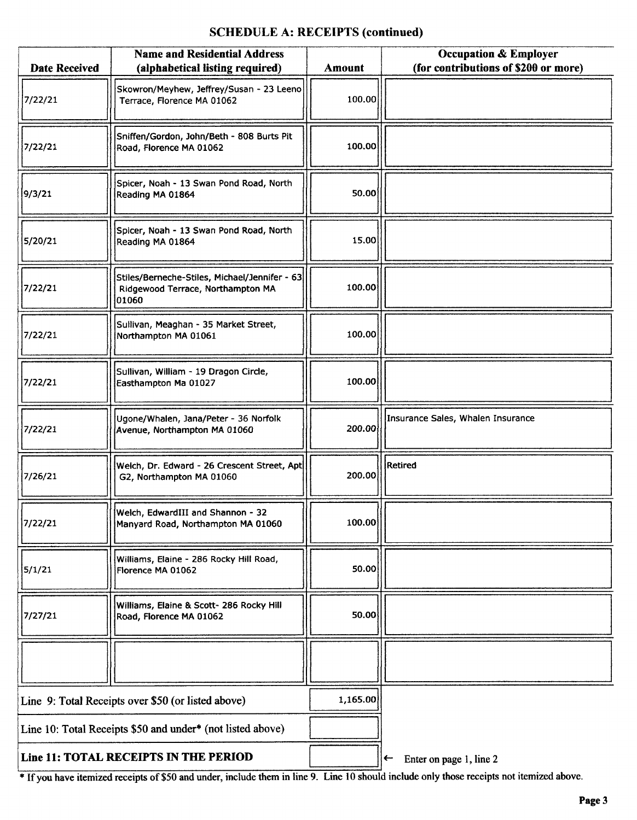## SCHEDULE A: RECEIPTS (continued)

| <b>Date Received</b>                  | <b>Name and Residential Address</b><br>(alphabetical listing required)                      | <b>Amount</b> | <b>Occupation &amp; Employer</b><br>(for contributions of \$200 or more) |
|---------------------------------------|---------------------------------------------------------------------------------------------|---------------|--------------------------------------------------------------------------|
| 7/22/21                               | Skowron/Meyhew, Jeffrey/Susan - 23 Leeno<br>Terrace, Florence MA 01062                      | 100.00        |                                                                          |
| 7/22/21                               | Sniffen/Gordon, John/Beth - 808 Burts Pit<br>Road, Florence MA 01062                        | 100,00        |                                                                          |
| 9/3/21                                | Spicer, Noah - 13 Swan Pond Road, North<br>Reading MA 01864                                 | 50.00         |                                                                          |
| 5/20/21                               | Spicer, Noah - 13 Swan Pond Road, North<br>Reading MA 01864                                 | 15.00         |                                                                          |
| 7/22/21                               | Stiles/Berneche-Stiles, Michael/Jennifer - 63<br>Ridgewood Terrace, Northampton MA<br>01060 | 100.00        |                                                                          |
| 7/22/21                               | Sullivan, Meaghan - 35 Market Street,<br>Northampton MA 01061                               | 100.00        |                                                                          |
| 7/22/21                               | Sullivan, William - 19 Dragon Circle,<br>Easthampton Ma 01027                               | 100.00        |                                                                          |
| 7/22/21                               | Ugone/Whalen, Jana/Peter - 36 Norfolk<br>Avenue, Northampton MA 01060                       | 200.00        | Insurance Sales, Whalen Insurance                                        |
| 7/26/21                               | Weich, Dr. Edward - 26 Crescent Street, Apt<br>G2, Northampton MA 01060                     | 200.00        | Retired                                                                  |
| 7/22/21                               | Welch, EdwardIII and Shannon - 32<br>Manyard Road, Northampton MA 01060                     | 100.00        |                                                                          |
| 5/1/21                                | Williams, Elaine - 286 Rocky Hill Road,<br>Florence MA 01062                                | 50.00         |                                                                          |
| 7/27/21                               | Williams, Elaine & Scott- 286 Rocky Hill<br>Road, Florence MA 01062                         | 50.00         |                                                                          |
|                                       |                                                                                             |               |                                                                          |
|                                       | Line 9: Total Receipts over \$50 (or listed above)                                          |               |                                                                          |
|                                       | Line 10: Total Receipts \$50 and under* (not listed above)                                  |               |                                                                          |
| Line 11: TOTAL RECEIPTS IN THE PERIOD |                                                                                             |               | Enter on page 1, line 2<br>←                                             |

<sup>If</sup> If you have itemized receipts of \$50 and under, include them in line 9. Line 10 should include only those receipts not itemized above.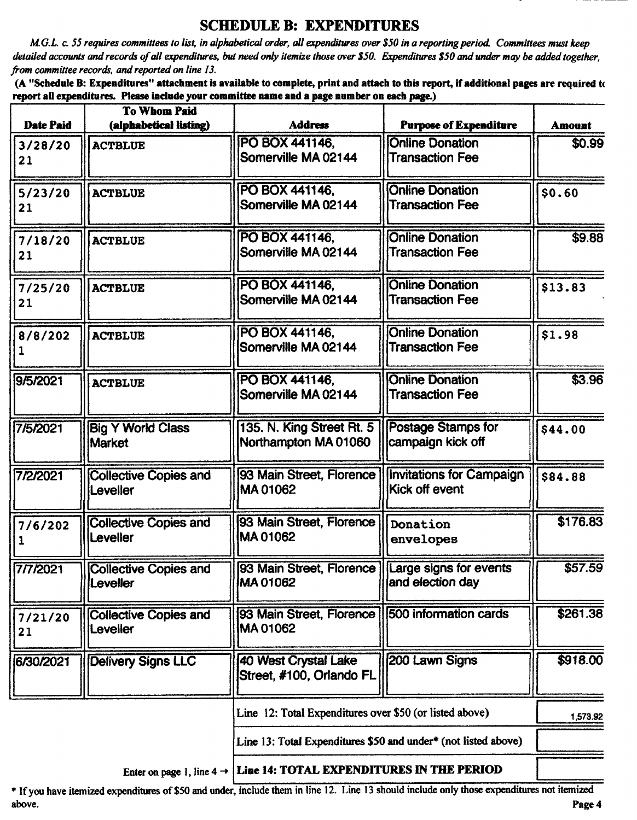## SCHEDULE B: EXPENDITURES

M.G.L. c. 55 requires committees to list, in alphabetical order, all expenditures over\$ 50 in a reporting period Committees must keep detailed accounts and records of all expenditures, but need only itemize those over \$50. Expenditures \$50 and under may be added together, from committee records, and reported on line 13.

A" Schedule B: Expenditures" attachment is available to complete, print and attach to this report, if additional pages are required tc report all expenditures. Please include your committee name and a page number on each page.)

|                  | <b>To Whom Paid</b>                       |                                                                |                                                   |               |
|------------------|-------------------------------------------|----------------------------------------------------------------|---------------------------------------------------|---------------|
| <b>Date Paid</b> | (alphabetical listing)                    | <b>Address</b>                                                 | <b>Purpose of Expenditure</b>                     | <b>Amount</b> |
| 3/28/20<br>21    | <b>ACTBLUE</b>                            | PO BOX 441146,<br>Somerville MA 02144                          | <b>Online Donation</b><br><b>Transaction Fee</b>  | \$0.99        |
| 5/23/20<br>21    | <b>ACTBLUE</b>                            | PO BOX 441146,<br>Somerville MA 02144                          | <b>Online Donation</b><br><b>Transaction Fee</b>  | \$0.60        |
| 7/18/20<br>21    | <b>ACTBLUE</b>                            | PO BOX 441146,<br>Somerville MA 02144                          | <b>Online Donation</b><br><b>Transaction Fee</b>  | \$9.88        |
| 7/25/20<br>21    | <b>ACTBLUE</b>                            | PO BOX 441146,<br>Somerville MA 02144                          | <b>Online Donation</b><br><b>Transaction Fee</b>  | \$13.83       |
| 8/8/202<br>1     | <b>ACTBLUE</b>                            | PO BOX 441146.<br>Somerville MA 02144                          | <b>Online Donation</b><br><b>Transaction Fee</b>  | \$1.98        |
| 9/5/2021         | <b>ACTBLUE</b>                            | PO BOX 441146,<br>Somerville MA 02144                          | <b>Online Donation</b><br><b>Transaction Fee</b>  | 53.96         |
| 7/5/2021         | <b>Big Y World Class</b><br><b>Market</b> | 135. N. King Street Rt. 5<br>Northampton MA 01060              | <b>Postage Stamps for</b><br>campaign kick off    | \$44.00       |
| 7/2/2021         | <b>Collective Copies and</b><br>Leveller  | 93 Main Street, Florence<br>MA01062                            | <b>Invitations for Campaign</b><br>Kick off event | \$84.88       |
| 7/6/202<br>1     | <b>Collective Copies and</b><br>Leveller  | 93 Main Street, Florence<br>MA01062                            | Donation<br>envelopes                             | \$176.83      |
| 7/7/2021         | <b>Collective Copies and</b><br>Leveller  | [93 Main Street, Florence] Large signs for events<br>MA 01062  | and election day                                  | \$57.59       |
| 7/21/20<br>21    | <b>Collective Copies and</b><br>Leveller  | 93 Main Street, Florence<br>MA01062                            | 500 information cards                             | \$261.38      |
| 6/30/2021        | <b>Delivery Signs LLC</b>                 | <b>40 West Crystal Lake</b><br>Street, #100, Orlando FL        | 200 Lawn Signs                                    | \$918.00      |
|                  |                                           | Line 12: Total Expenditures over \$50 (or listed above)        |                                                   | 1,573.92      |
|                  |                                           | Line 13: Total Expenditures \$50 and under* (not listed above) |                                                   |               |
|                  |                                           |                                                                |                                                   |               |

Enter on page 1, line  $4 \rightarrow$  Line 14: TOTAL EXPENDITURES IN THE PERIOD

If you have itemized expenditures of\$ <sup>50</sup> and under, include them in line 12. Line <sup>13</sup> should include only those expenditures not itemized above. **Page 4** and the set of the set of the set of the set of the set of the set of the set of the set of the set of the set of the set of the set of the set of the set of the set of the set of the set of the set of the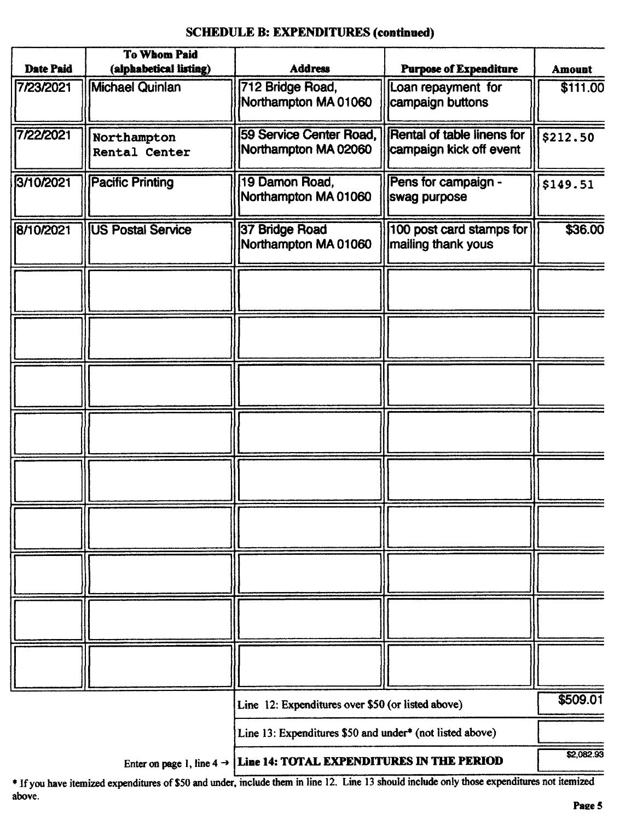#### SCHEDULE B: EXPENDITURES (continued)

|                  | <b>To Whom Paid</b>                 |                                                                                   |                                                              |               |
|------------------|-------------------------------------|-----------------------------------------------------------------------------------|--------------------------------------------------------------|---------------|
| <b>Date Paid</b> | (alphabetical listing)              | <b>Address</b>                                                                    | <b>Purpose of Expenditure</b>                                | <b>Amount</b> |
| 7/23/2021        | <b>Michael Quinlan</b>              | 712 Bridge Road,<br>Northampton MA 01060                                          | Loan repayment for<br>campaign buttons                       | \$111.00      |
| 7/22/2021        | Northampton<br><b>Rental Center</b> | 59 Service Center Road,<br>Northampton MA 02060                                   | <b>Rental of table linens for</b><br>campaign kick off event | \$212.50      |
| 3/10/2021        | <b>Pacific Printing</b>             | 19 Damon Road,<br>Northampton MA 01060                                            | Pens for campaign -<br>swag purpose                          | \$149.51      |
| 8/10/2021        | <b>US Postal Service</b>            | 37 Bridge Road<br>Northampton MA 01060                                            | 100 post card stamps for<br>mailing thank yous               | \$36.00       |
|                  |                                     |                                                                                   |                                                              |               |
|                  |                                     |                                                                                   |                                                              |               |
|                  |                                     |                                                                                   |                                                              |               |
|                  |                                     |                                                                                   |                                                              |               |
|                  |                                     |                                                                                   |                                                              |               |
|                  |                                     |                                                                                   |                                                              |               |
|                  |                                     |                                                                                   |                                                              |               |
|                  |                                     |                                                                                   |                                                              |               |
|                  |                                     |                                                                                   |                                                              |               |
|                  |                                     | Line 12: Expenditures over \$50 (or listed above)                                 |                                                              | \$509.01      |
|                  |                                     | Line 13: Expenditures \$50 and under* (not listed above)                          |                                                              |               |
|                  |                                     | Enter on page 1, line $4 \rightarrow$   Line 14: TOTAL EXPENDITURES IN THE PERIOD |                                                              | \$2,082.93    |

ifyou have itemized expenditures of\$50 and under, include them in line 12. Line <sup>13</sup> should include only those expenditures not itemized above.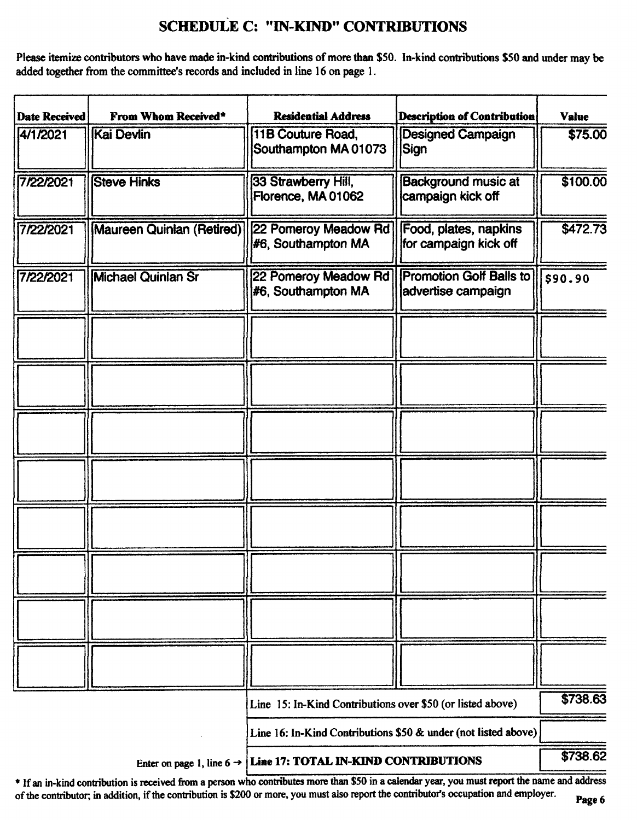# SCHEDULE C: " IN-KIND" CONTRIBUTIONS

Please itemize contributors who have made in-kind contributions of more than \$50. In-kind contributions \$50 and under may be added together from the committee's records and included in line 16 on page 1.

| <b>Date Received</b> | From Whom Received*                   | <b>Residential Address</b>                                     | <b>Description of Contribution</b>                   | <b>Value</b> |
|----------------------|---------------------------------------|----------------------------------------------------------------|------------------------------------------------------|--------------|
| 4/1/2021             | Kai Devlin                            | 11B Couture Road,<br>Southampton MA 01073                      | <b>Designed Campaign</b><br> Sign                    | \$75.00      |
| 7/22/2021            | <b>Steve Hinks</b>                    | 33 Strawberry Hill,<br>Florence, MA 01062                      | <b>Background music at</b><br>campaign kick off      | \$100.00     |
| 7/22/2021            | <b>Maureen Quinlan (Retired)</b>      | 22 Pomeroy Meadow Rd<br>#6, Southampton MA                     | Food, plates, napkins<br>for campaign kick off       | \$472.73     |
| 7/22/2021            | <b>Michael Quinlan Sr</b>             | 22 Pomeroy Meadow Rd<br>#6, Southampton MA                     | <b>Promotion Golf Balls to</b><br>advertise campaign | \$90.90      |
|                      |                                       |                                                                |                                                      |              |
|                      |                                       |                                                                |                                                      |              |
|                      |                                       |                                                                |                                                      |              |
|                      |                                       |                                                                |                                                      |              |
|                      |                                       |                                                                |                                                      |              |
|                      |                                       |                                                                |                                                      |              |
|                      |                                       |                                                                |                                                      |              |
|                      |                                       |                                                                |                                                      |              |
|                      |                                       | Line 15: In-Kind Contributions over \$50 (or listed above)     |                                                      | \$738.63     |
|                      |                                       | Line 16: In-Kind Contributions \$50 & under (not listed above) |                                                      |              |
|                      | Enter on page 1, line $6 \rightarrow$ | Line 17: TOTAL IN-KIND CONTRIBUTIONS                           |                                                      | \$738.62     |

\* If an in-kind contribution is received from a person who contributes more than \$50 in a calendar year, you must report the name and address of the contributor; in addition, if the contribution is \$200 or more, you must also report the contributor's occupation and employer.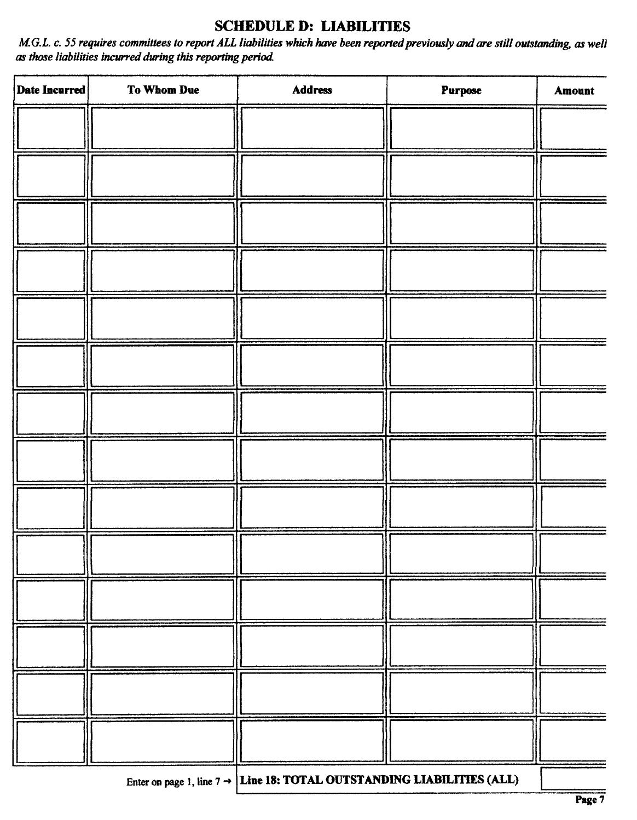# SCHEDULE D: LIABILITIES

M.G.L. c. 55 requires committees to report ALL liabilities which have been reported previously and are still outstanding, as well as those liabilities incurred during this reporting period

| Date Incurred | To Whom Due | Address                         | Purpose                                    | Amount |
|---------------|-------------|---------------------------------|--------------------------------------------|--------|
|               |             |                                 |                                            |        |
|               |             |                                 |                                            |        |
|               |             |                                 |                                            |        |
|               |             |                                 |                                            |        |
|               |             |                                 |                                            |        |
|               |             |                                 |                                            |        |
|               |             |                                 |                                            |        |
|               |             |                                 |                                            |        |
|               |             |                                 |                                            |        |
|               |             |                                 |                                            |        |
|               |             |                                 |                                            |        |
|               |             |                                 |                                            |        |
|               |             |                                 |                                            |        |
|               |             |                                 |                                            |        |
|               |             | <b>CAN THE PERSON ASSOCIATE</b> | <b><i>NOTES TO THE TO BE THE STATE</i></b> |        |

Enter on page 1, line  $7 \rightarrow$  Line 18: TOTAL OUTSTANDING LIABILITIES (ALL)

1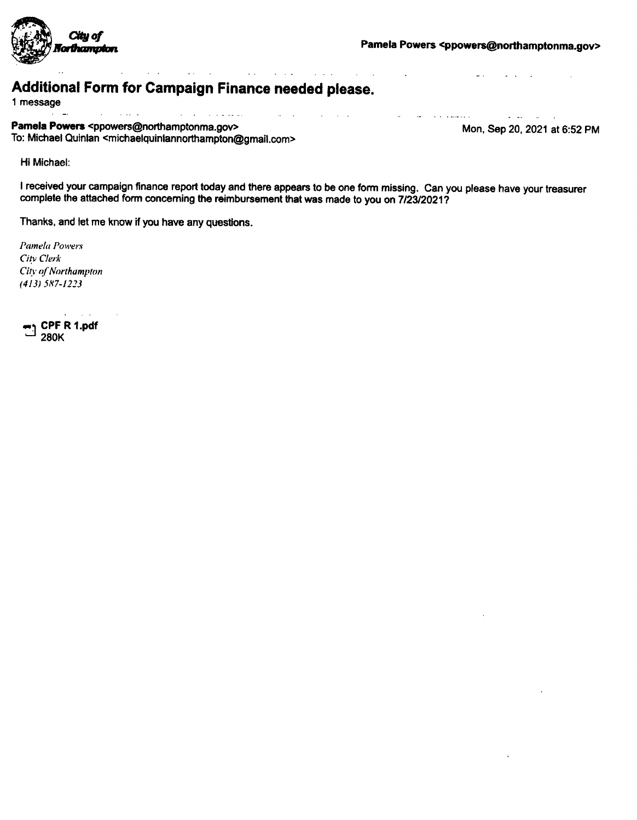

 $\sim 10^{-1}$ 

and the state of the contract of the

#### $\mathbf{A}$ Additional Form for Campaign Finance needed please.

 $\mathcal{L}_{\text{max}}$  and  $\mathcal{L}_{\text{max}}$ 

<sup>1</sup> message

لشعبع والمناجات  $\Delta \phi = 2.00$  km s  $^{-1}$ Pamela Powers <ppowers@northamptonma.gov> Mon, Sep 20, 2021 at 6:52 PM To: Michael Quinlan <michaelquinlannorthampton@gmail. com>

**Service** 

 $\mathcal{L}^{\text{max}}$ 

**Service Contractor** 

 $\Delta \sim 10^{11}$  and  $\Delta \sim 10^{11}$ 

Hi Michael:

<sup>I</sup> received your campaign finance report today and there appears to be one form missing. Can you please have your treasurer complete the attached form concerning the reimbursement that was made to you on 7/23/2021?

 $\sim$  $\sim$   $\sim$ 

 $\mathbf{v} \rightarrow \mathbf{v}$  , where  $\mathbf{v} \rightarrow \mathbf{v}$  ,  $\mathbf{v} \rightarrow \mathbf{v}$ 

 $\sim 1$ 

 $\sim$ 

Thanks, and let me know if you have any questions.

Pamela Powers City Clerk City of Northampton 413) 587- 1223

 $\mathbf{L}$ CPF R 1. pdf 280K